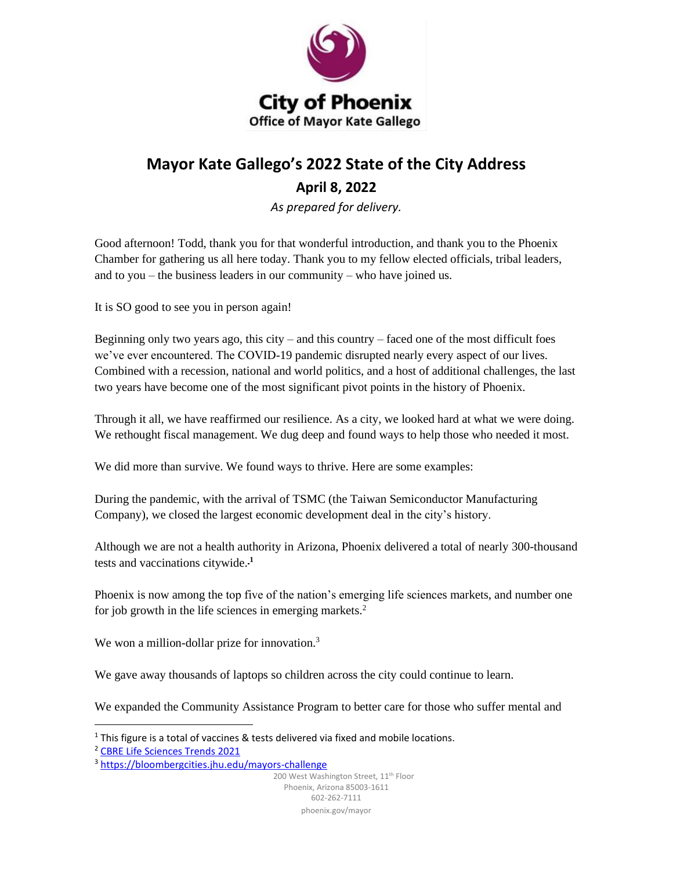

## **Mayor Kate Gallego's 2022 State of the City Address April 8, 2022**

*As prepared for delivery.*

Good afternoon! Todd, thank you for that wonderful introduction, and thank you to the Phoenix Chamber for gathering us all here today. Thank you to my fellow elected officials, tribal leaders, and to you – the business leaders in our community – who have joined us.

It is SO good to see you in person again!

Beginning only two years ago, this city – and this country – faced one of the most difficult foes we've ever encountered. The COVID-19 pandemic disrupted nearly every aspect of our lives. Combined with a recession, national and world politics, and a host of additional challenges, the last two years have become one of the most significant pivot points in the history of Phoenix.

Through it all, we have reaffirmed our resilience. As a city, we looked hard at what we were doing. We rethought fiscal management. We dug deep and found ways to help those who needed it most.

We did more than survive. We found ways to thrive. Here are some examples:

During the pandemic, with the arrival of TSMC (the Taiwan Semiconductor Manufacturing Company), we closed the largest economic development deal in the city's history.

Although we are not a health authority in Arizona, Phoenix delivered a total of nearly 300-thousand tests and vaccinations citywide. **<sup>1</sup>**

Phoenix is now among the top five of the nation's emerging life sciences markets, and number one for job growth in the life sciences in emerging markets.<sup>2</sup>

We won a million-dollar prize for innovation.<sup>3</sup>

We gave away thousands of laptops so children across the city could continue to learn.

We expanded the Community Assistance Program to better care for those who suffer mental and

200 West Washington Street, 11<sup>th</sup> Floor Phoenix, Arizona 85003-1611 602-262-7111 phoenix.gov/mayor

 $1$  This figure is a total of vaccines & tests delivered via fixed and mobile locations.

<sup>2</sup> [CBRE Life Sciences Trends 2021](http://cbre.vo.llnwd.net/grgservices/secure/CBRE%20Life%20Sciences%20Trends%202021.pdf?e=1649183357&h=510166a3c8e54dfe2e8c6efb9b62f38c)

<sup>&</sup>lt;sup>3</sup> <https://bloombergcities.jhu.edu/mayors-challenge>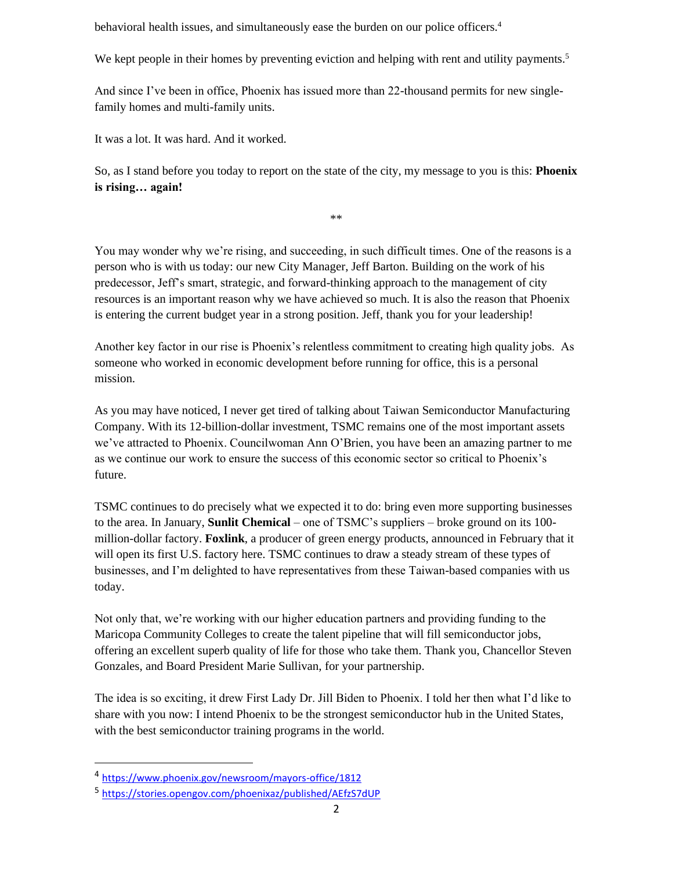behavioral health issues, and simultaneously ease the burden on our police officers.<sup>4</sup>

We kept people in their homes by preventing eviction and helping with rent and utility payments.<sup>5</sup>

And since I've been in office, Phoenix has issued more than 22-thousand permits for new singlefamily homes and multi-family units.

It was a lot. It was hard. And it worked.

So, as I stand before you today to report on the state of the city, my message to you is this: **Phoenix is rising… again!**

\*\*

You may wonder why we're rising, and succeeding, in such difficult times. One of the reasons is a person who is with us today: our new City Manager, Jeff Barton. Building on the work of his predecessor, Jeff's smart, strategic, and forward-thinking approach to the management of city resources is an important reason why we have achieved so much. It is also the reason that Phoenix is entering the current budget year in a strong position. Jeff, thank you for your leadership!

Another key factor in our rise is Phoenix's relentless commitment to creating high quality jobs. As someone who worked in economic development before running for office, this is a personal mission.

As you may have noticed, I never get tired of talking about Taiwan Semiconductor Manufacturing Company. With its 12-billion-dollar investment, TSMC remains one of the most important assets we've attracted to Phoenix. Councilwoman Ann O'Brien, you have been an amazing partner to me as we continue our work to ensure the success of this economic sector so critical to Phoenix's future.

TSMC continues to do precisely what we expected it to do: bring even more supporting businesses to the area. In January, **Sunlit Chemical** – one of TSMC's suppliers – broke ground on its 100 million-dollar factory. **Foxlink**, a producer of green energy products, announced in February that it will open its first U.S. factory here. TSMC continues to draw a steady stream of these types of businesses, and I'm delighted to have representatives from these Taiwan-based companies with us today.

Not only that, we're working with our higher education partners and providing funding to the Maricopa Community Colleges to create the talent pipeline that will fill semiconductor jobs, offering an excellent superb quality of life for those who take them. Thank you, Chancellor Steven Gonzales, and Board President Marie Sullivan, for your partnership.

The idea is so exciting, it drew First Lady Dr. Jill Biden to Phoenix. I told her then what I'd like to share with you now: I intend Phoenix to be the strongest semiconductor hub in the United States, with the best semiconductor training programs in the world.

<sup>4</sup> <https://www.phoenix.gov/newsroom/mayors-office/1812>

<sup>5</sup> <https://stories.opengov.com/phoenixaz/published/AEfzS7dUP>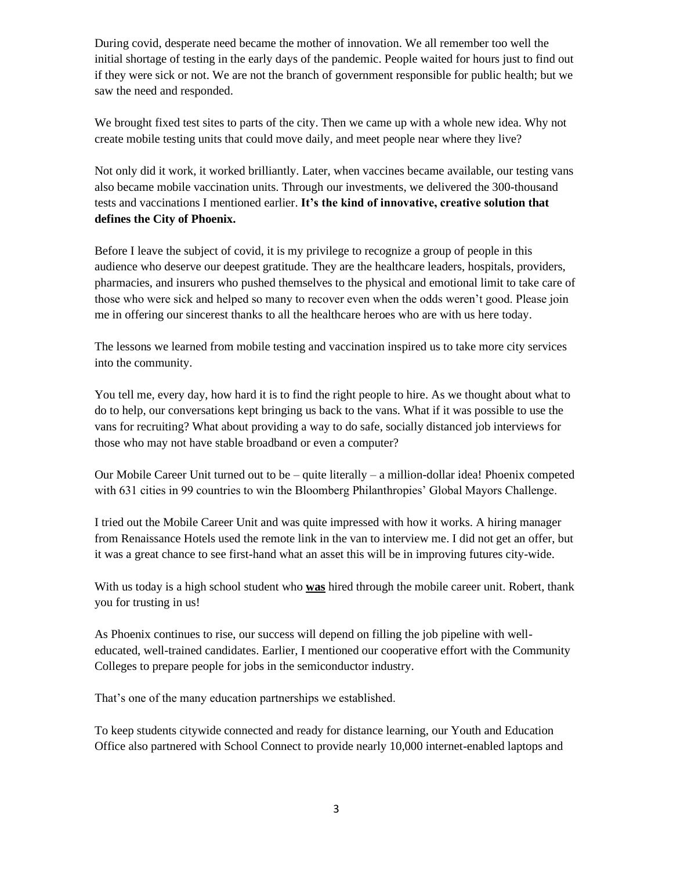During covid, desperate need became the mother of innovation. We all remember too well the initial shortage of testing in the early days of the pandemic. People waited for hours just to find out if they were sick or not. We are not the branch of government responsible for public health; but we saw the need and responded.

We brought fixed test sites to parts of the city. Then we came up with a whole new idea. Why not create mobile testing units that could move daily, and meet people near where they live?

Not only did it work, it worked brilliantly. Later, when vaccines became available, our testing vans also became mobile vaccination units. Through our investments, we delivered the 300-thousand tests and vaccinations I mentioned earlier. **It's the kind of innovative, creative solution that defines the City of Phoenix.**

Before I leave the subject of covid, it is my privilege to recognize a group of people in this audience who deserve our deepest gratitude. They are the healthcare leaders, hospitals, providers, pharmacies, and insurers who pushed themselves to the physical and emotional limit to take care of those who were sick and helped so many to recover even when the odds weren't good. Please join me in offering our sincerest thanks to all the healthcare heroes who are with us here today.

The lessons we learned from mobile testing and vaccination inspired us to take more city services into the community.

You tell me, every day, how hard it is to find the right people to hire. As we thought about what to do to help, our conversations kept bringing us back to the vans. What if it was possible to use the vans for recruiting? What about providing a way to do safe, socially distanced job interviews for those who may not have stable broadband or even a computer?

Our Mobile Career Unit turned out to be – quite literally – a million-dollar idea! Phoenix competed with 631 cities in 99 countries to win the Bloomberg Philanthropies' Global Mayors Challenge.

I tried out the Mobile Career Unit and was quite impressed with how it works. A hiring manager from Renaissance Hotels used the remote link in the van to interview me. I did not get an offer, but it was a great chance to see first-hand what an asset this will be in improving futures city-wide.

With us today is a high school student who **was** hired through the mobile career unit. Robert, thank you for trusting in us!

As Phoenix continues to rise, our success will depend on filling the job pipeline with welleducated, well-trained candidates. Earlier, I mentioned our cooperative effort with the Community Colleges to prepare people for jobs in the semiconductor industry.

That's one of the many education partnerships we established.

To keep students citywide connected and ready for distance learning, our Youth and Education Office also partnered with School Connect to provide nearly 10,000 internet-enabled laptops and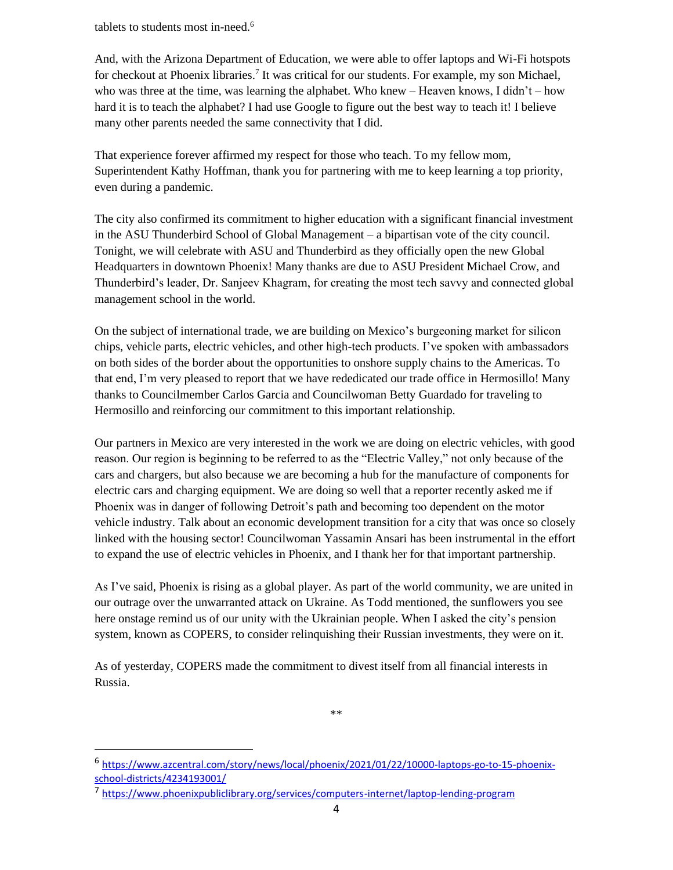tablets to students most in-need.<sup>6</sup>

And, with the Arizona Department of Education, we were able to offer laptops and Wi-Fi hotspots for checkout at Phoenix libraries.<sup>7</sup> It was critical for our students. For example, my son Michael, who was three at the time, was learning the alphabet. Who knew – Heaven knows, I didn't – how hard it is to teach the alphabet? I had use Google to figure out the best way to teach it! I believe many other parents needed the same connectivity that I did.

That experience forever affirmed my respect for those who teach. To my fellow mom, Superintendent Kathy Hoffman, thank you for partnering with me to keep learning a top priority, even during a pandemic.

The city also confirmed its commitment to higher education with a significant financial investment in the ASU Thunderbird School of Global Management – a bipartisan vote of the city council. Tonight, we will celebrate with ASU and Thunderbird as they officially open the new Global Headquarters in downtown Phoenix! Many thanks are due to ASU President Michael Crow, and Thunderbird's leader, Dr. Sanjeev Khagram, for creating the most tech savvy and connected global management school in the world.

On the subject of international trade, we are building on Mexico's burgeoning market for silicon chips, vehicle parts, electric vehicles, and other high-tech products. I've spoken with ambassadors on both sides of the border about the opportunities to onshore supply chains to the Americas. To that end, I'm very pleased to report that we have rededicated our trade office in Hermosillo! Many thanks to Councilmember Carlos Garcia and Councilwoman Betty Guardado for traveling to Hermosillo and reinforcing our commitment to this important relationship.

Our partners in Mexico are very interested in the work we are doing on electric vehicles, with good reason. Our region is beginning to be referred to as the "Electric Valley," not only because of the cars and chargers, but also because we are becoming a hub for the manufacture of components for electric cars and charging equipment. We are doing so well that a reporter recently asked me if Phoenix was in danger of following Detroit's path and becoming too dependent on the motor vehicle industry. Talk about an economic development transition for a city that was once so closely linked with the housing sector! Councilwoman Yassamin Ansari has been instrumental in the effort to expand the use of electric vehicles in Phoenix, and I thank her for that important partnership.

As I've said, Phoenix is rising as a global player. As part of the world community, we are united in our outrage over the unwarranted attack on Ukraine. As Todd mentioned, the sunflowers you see here onstage remind us of our unity with the Ukrainian people. When I asked the city's pension system, known as COPERS, to consider relinquishing their Russian investments, they were on it.

As of yesterday, COPERS made the commitment to divest itself from all financial interests in Russia.

\*\*

<sup>6</sup> [https://www.azcentral.com/story/news/local/phoenix/2021/01/22/10000-laptops-go-to-15-phoenix](https://www.azcentral.com/story/news/local/phoenix/2021/01/22/10000-laptops-go-to-15-phoenix-school-districts/4234193001/)[school-districts/4234193001/](https://www.azcentral.com/story/news/local/phoenix/2021/01/22/10000-laptops-go-to-15-phoenix-school-districts/4234193001/)

<sup>7</sup> <https://www.phoenixpubliclibrary.org/services/computers-internet/laptop-lending-program>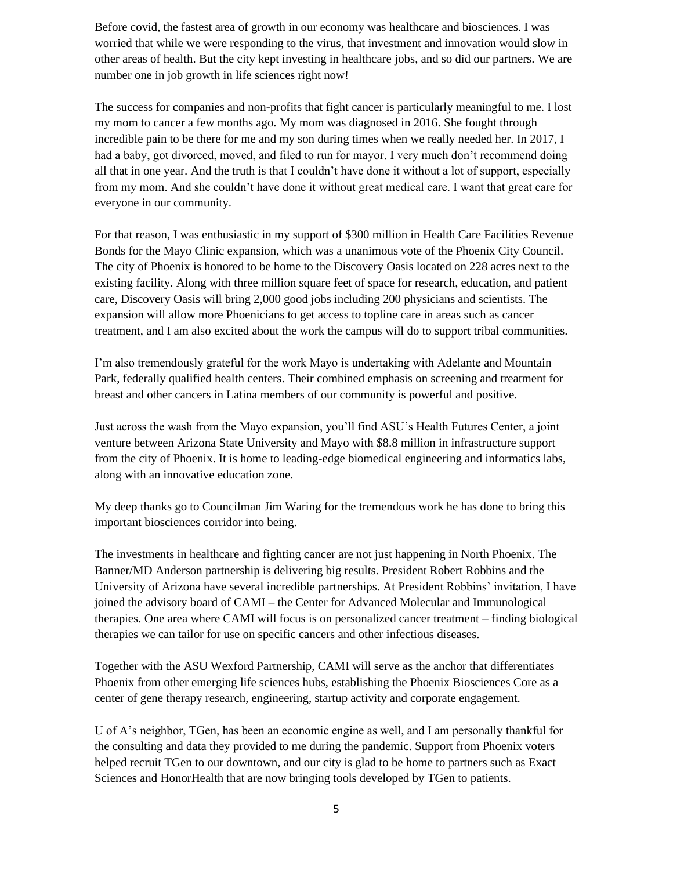Before covid, the fastest area of growth in our economy was healthcare and biosciences. I was worried that while we were responding to the virus, that investment and innovation would slow in other areas of health. But the city kept investing in healthcare jobs, and so did our partners. We are number one in job growth in life sciences right now!

The success for companies and non-profits that fight cancer is particularly meaningful to me. I lost my mom to cancer a few months ago. My mom was diagnosed in 2016. She fought through incredible pain to be there for me and my son during times when we really needed her. In 2017, I had a baby, got divorced, moved, and filed to run for mayor. I very much don't recommend doing all that in one year. And the truth is that I couldn't have done it without a lot of support, especially from my mom. And she couldn't have done it without great medical care. I want that great care for everyone in our community.

For that reason, I was enthusiastic in my support of \$300 million in Health Care Facilities Revenue Bonds for the Mayo Clinic expansion, which was a unanimous vote of the Phoenix City Council. The city of Phoenix is honored to be home to the Discovery Oasis located on 228 acres next to the existing facility. Along with three million square feet of space for research, education, and patient care, Discovery Oasis will bring 2,000 good jobs including 200 physicians and scientists. The expansion will allow more Phoenicians to get access to topline care in areas such as cancer treatment, and I am also excited about the work the campus will do to support tribal communities.

I'm also tremendously grateful for the work Mayo is undertaking with Adelante and Mountain Park, federally qualified health centers. Their combined emphasis on screening and treatment for breast and other cancers in Latina members of our community is powerful and positive.

Just across the wash from the Mayo expansion, you'll find ASU's Health Futures Center, a joint venture between Arizona State University and Mayo with \$8.8 million in infrastructure support from the city of Phoenix. It is home to leading-edge biomedical engineering and informatics labs, along with an innovative education zone.

My deep thanks go to Councilman Jim Waring for the tremendous work he has done to bring this important biosciences corridor into being.

The investments in healthcare and fighting cancer are not just happening in North Phoenix. The Banner/MD Anderson partnership is delivering big results. President Robert Robbins and the University of Arizona have several incredible partnerships. At President Robbins' invitation, I have joined the advisory board of CAMI – the Center for Advanced Molecular and Immunological therapies. One area where CAMI will focus is on personalized cancer treatment – finding biological therapies we can tailor for use on specific cancers and other infectious diseases.

Together with the ASU Wexford Partnership, CAMI will serve as the anchor that differentiates Phoenix from other emerging life sciences hubs, establishing the Phoenix Biosciences Core as a center of gene therapy research, engineering, startup activity and corporate engagement.

U of A's neighbor, TGen, has been an economic engine as well, and I am personally thankful for the consulting and data they provided to me during the pandemic. Support from Phoenix voters helped recruit TGen to our downtown, and our city is glad to be home to partners such as Exact Sciences and HonorHealth that are now bringing tools developed by TGen to patients.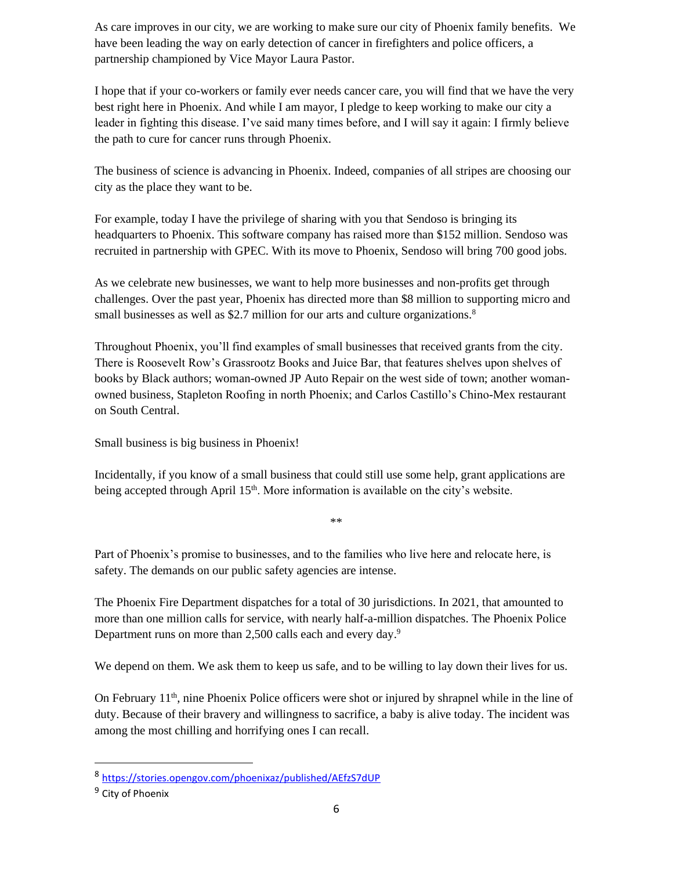As care improves in our city, we are working to make sure our city of Phoenix family benefits. We have been leading the way on early detection of cancer in firefighters and police officers, a partnership championed by Vice Mayor Laura Pastor.

I hope that if your co-workers or family ever needs cancer care, you will find that we have the very best right here in Phoenix. And while I am mayor, I pledge to keep working to make our city a leader in fighting this disease. I've said many times before, and I will say it again: I firmly believe the path to cure for cancer runs through Phoenix.

The business of science is advancing in Phoenix. Indeed, companies of all stripes are choosing our city as the place they want to be.

For example, today I have the privilege of sharing with you that Sendoso is bringing its headquarters to Phoenix. This software company has raised more than \$152 million. Sendoso was recruited in partnership with GPEC. With its move to Phoenix, Sendoso will bring 700 good jobs.

As we celebrate new businesses, we want to help more businesses and non-profits get through challenges. Over the past year, Phoenix has directed more than \$8 million to supporting micro and small businesses as well as \$2.7 million for our arts and culture organizations.<sup>8</sup>

Throughout Phoenix, you'll find examples of small businesses that received grants from the city. There is Roosevelt Row's Grassrootz Books and Juice Bar, that features shelves upon shelves of books by Black authors; woman-owned JP Auto Repair on the west side of town; another womanowned business, Stapleton Roofing in north Phoenix; and Carlos Castillo's Chino-Mex restaurant on South Central.

Small business is big business in Phoenix!

Incidentally, if you know of a small business that could still use some help, grant applications are being accepted through April 15<sup>th</sup>. More information is available on the city's website.

\*\*

Part of Phoenix's promise to businesses, and to the families who live here and relocate here, is safety. The demands on our public safety agencies are intense.

The Phoenix Fire Department dispatches for a total of 30 jurisdictions. In 2021, that amounted to more than one million calls for service, with nearly half-a-million dispatches. The Phoenix Police Department runs on more than 2,500 calls each and every day.<sup>9</sup>

We depend on them. We ask them to keep us safe, and to be willing to lay down their lives for us.

On February  $11<sup>th</sup>$ , nine Phoenix Police officers were shot or injured by shrapnel while in the line of duty. Because of their bravery and willingness to sacrifice, a baby is alive today. The incident was among the most chilling and horrifying ones I can recall.

<sup>8</sup> <https://stories.opengov.com/phoenixaz/published/AEfzS7dUP>

<sup>&</sup>lt;sup>9</sup> City of Phoenix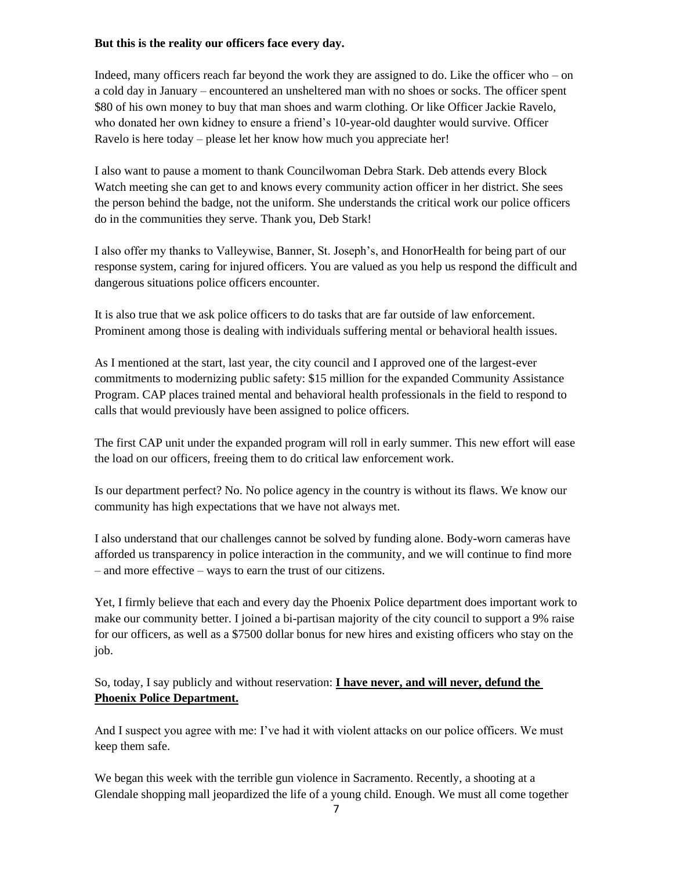## **But this is the reality our officers face every day.**

Indeed, many officers reach far beyond the work they are assigned to do. Like the officer who – on a cold day in January – encountered an unsheltered man with no shoes or socks. The officer spent \$80 of his own money to buy that man shoes and warm clothing. Or like Officer Jackie Ravelo, who donated her own kidney to ensure a friend's 10-year-old daughter would survive. Officer Ravelo is here today – please let her know how much you appreciate her!

I also want to pause a moment to thank Councilwoman Debra Stark. Deb attends every Block Watch meeting she can get to and knows every community action officer in her district. She sees the person behind the badge, not the uniform. She understands the critical work our police officers do in the communities they serve. Thank you, Deb Stark!

I also offer my thanks to Valleywise, Banner, St. Joseph's, and HonorHealth for being part of our response system, caring for injured officers. You are valued as you help us respond the difficult and dangerous situations police officers encounter.

It is also true that we ask police officers to do tasks that are far outside of law enforcement. Prominent among those is dealing with individuals suffering mental or behavioral health issues.

As I mentioned at the start, last year, the city council and I approved one of the largest-ever commitments to modernizing public safety: \$15 million for the expanded Community Assistance Program. CAP places trained mental and behavioral health professionals in the field to respond to calls that would previously have been assigned to police officers.

The first CAP unit under the expanded program will roll in early summer. This new effort will ease the load on our officers, freeing them to do critical law enforcement work.

Is our department perfect? No. No police agency in the country is without its flaws. We know our community has high expectations that we have not always met.

I also understand that our challenges cannot be solved by funding alone. Body-worn cameras have afforded us transparency in police interaction in the community, and we will continue to find more – and more effective – ways to earn the trust of our citizens.

Yet, I firmly believe that each and every day the Phoenix Police department does important work to make our community better. I joined a bi-partisan majority of the city council to support a 9% raise for our officers, as well as a \$7500 dollar bonus for new hires and existing officers who stay on the job.

So, today, I say publicly and without reservation: **I have never, and will never, defund the Phoenix Police Department.**

And I suspect you agree with me: I've had it with violent attacks on our police officers. We must keep them safe.

We began this week with the terrible gun violence in Sacramento. Recently, a shooting at a Glendale shopping mall jeopardized the life of a young child. Enough. We must all come together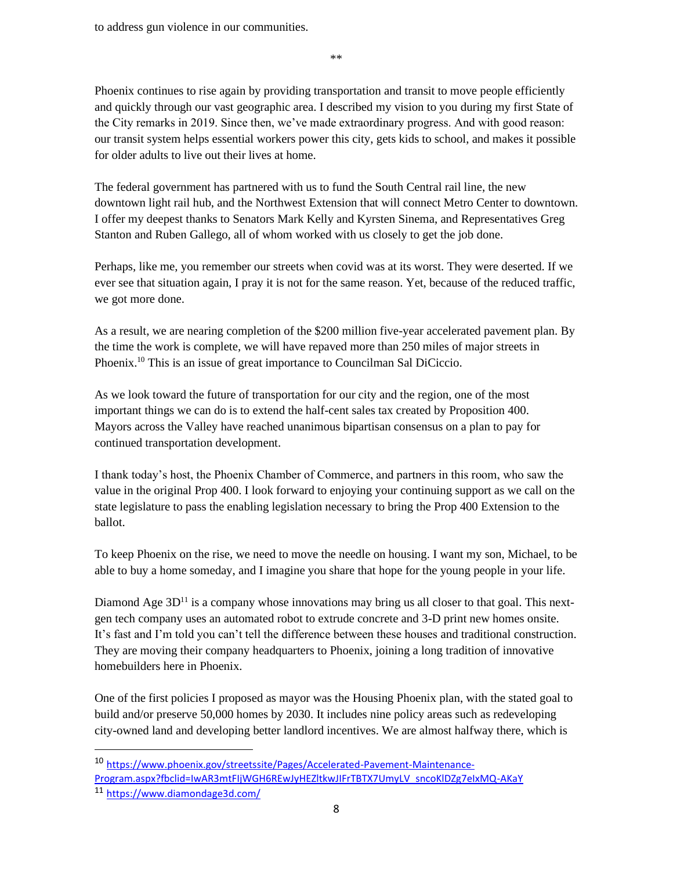to address gun violence in our communities.

\*\*

Phoenix continues to rise again by providing transportation and transit to move people efficiently and quickly through our vast geographic area. I described my vision to you during my first State of the City remarks in 2019. Since then, we've made extraordinary progress. And with good reason: our transit system helps essential workers power this city, gets kids to school, and makes it possible for older adults to live out their lives at home.

The federal government has partnered with us to fund the South Central rail line, the new downtown light rail hub, and the Northwest Extension that will connect Metro Center to downtown. I offer my deepest thanks to Senators Mark Kelly and Kyrsten Sinema, and Representatives Greg Stanton and Ruben Gallego, all of whom worked with us closely to get the job done.

Perhaps, like me, you remember our streets when covid was at its worst. They were deserted. If we ever see that situation again, I pray it is not for the same reason. Yet, because of the reduced traffic, we got more done.

As a result, we are nearing completion of the \$200 million five-year accelerated pavement plan. By the time the work is complete, we will have repaved more than 250 miles of major streets in Phoenix.<sup>10</sup> This is an issue of great importance to Councilman Sal DiCiccio.

As we look toward the future of transportation for our city and the region, one of the most important things we can do is to extend the half-cent sales tax created by Proposition 400. Mayors across the Valley have reached unanimous bipartisan consensus on a plan to pay for continued transportation development.

I thank today's host, the Phoenix Chamber of Commerce, and partners in this room, who saw the value in the original Prop 400. I look forward to enjoying your continuing support as we call on the state legislature to pass the enabling legislation necessary to bring the Prop 400 Extension to the ballot.

To keep Phoenix on the rise, we need to move the needle on housing. I want my son, Michael, to be able to buy a home someday, and I imagine you share that hope for the young people in your life.

Diamond Age  $3D<sup>11</sup>$  is a company whose innovations may bring us all closer to that goal. This nextgen tech company uses an automated robot to extrude concrete and 3-D print new homes onsite. It's fast and I'm told you can't tell the difference between these houses and traditional construction. They are moving their company headquarters to Phoenix, joining a long tradition of innovative homebuilders here in Phoenix.

One of the first policies I proposed as mayor was the Housing Phoenix plan, with the stated goal to build and/or preserve 50,000 homes by 2030. It includes nine policy areas such as redeveloping city-owned land and developing better landlord incentives. We are almost halfway there, which is

<sup>10</sup> [https://www.phoenix.gov/streetssite/Pages/Accelerated-Pavement-Maintenance-](https://www.phoenix.gov/streetssite/Pages/Accelerated-Pavement-Maintenance-Program.aspx?fbclid=IwAR3mtFIjWGH6REwJyHEZltkwJIFrTBTX7UmyLV_sncoKlDZg7eIxMQ-AKaY)Program.aspx?fbclid=IwAR3mtFIjWGH6REwJyHEZItkwJIFrTBTX7UmyLV\_sncoKlDZg7eIxMQ-AKaY

<sup>11</sup> <https://www.diamondage3d.com/>